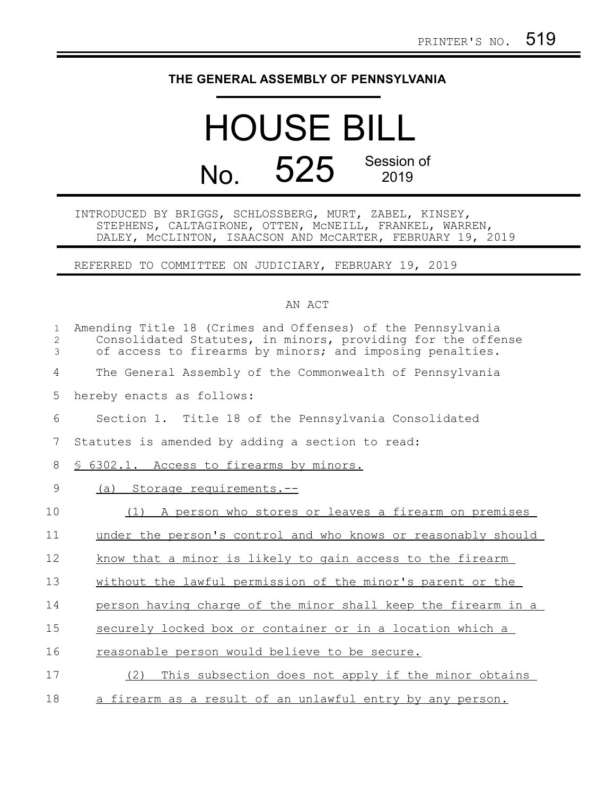## **THE GENERAL ASSEMBLY OF PENNSYLVANIA**

## HOUSE BILL No. 525 Session of

INTRODUCED BY BRIGGS, SCHLOSSBERG, MURT, ZABEL, KINSEY, STEPHENS, CALTAGIRONE, OTTEN, McNEILL, FRANKEL, WARREN, DALEY, McCLINTON, ISAACSON AND McCARTER, FEBRUARY 19, 2019

REFERRED TO COMMITTEE ON JUDICIARY, FEBRUARY 19, 2019

## AN ACT

| $\mathbf{1}$<br>2<br>3 | Amending Title 18 (Crimes and Offenses) of the Pennsylvania<br>Consolidated Statutes, in minors, providing for the offense<br>of access to firearms by minors; and imposing penalties. |
|------------------------|----------------------------------------------------------------------------------------------------------------------------------------------------------------------------------------|
| 4                      | The General Assembly of the Commonwealth of Pennsylvania                                                                                                                               |
| 5                      | hereby enacts as follows:                                                                                                                                                              |
| 6                      | Section 1. Title 18 of the Pennsylvania Consolidated                                                                                                                                   |
| 7                      | Statutes is amended by adding a section to read:                                                                                                                                       |
| 8                      | § 6302.1. Access to firearms by minors.                                                                                                                                                |
| 9                      | Storage requirements.--<br>(a)                                                                                                                                                         |
| 10                     | A person who stores or leaves a firearm on premises<br>(1)                                                                                                                             |
| 11                     | under the person's control and who knows or reasonably should                                                                                                                          |
| 12                     | know that a minor is likely to gain access to the firearm                                                                                                                              |
| 13                     | without the lawful permission of the minor's parent or the                                                                                                                             |
| 14                     | person having charge of the minor shall keep the firearm in a                                                                                                                          |
| 15                     | securely locked box or container or in a location which a                                                                                                                              |
| 16                     | reasonable person would believe to be secure.                                                                                                                                          |
| 17                     | This subsection does not apply if the minor obtains<br>(2)                                                                                                                             |
| 18                     | a firearm as a result of an unlawful entry by any person.                                                                                                                              |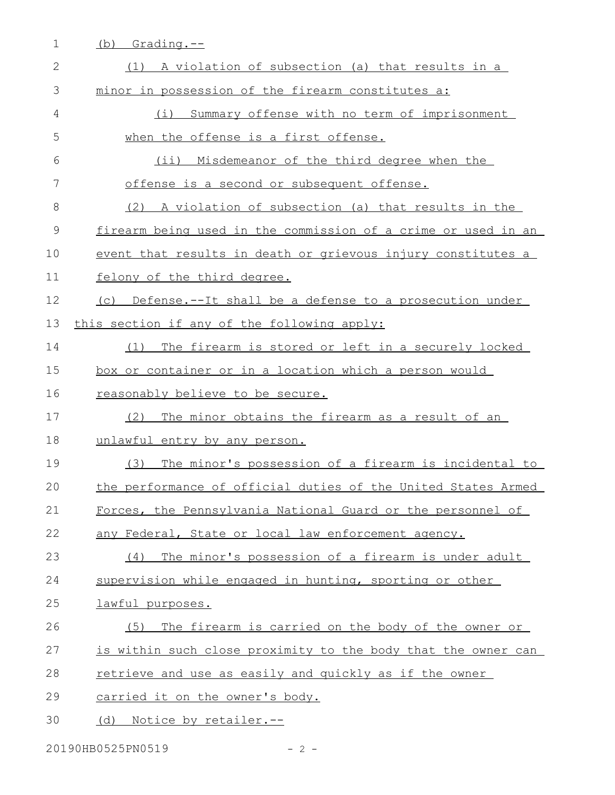| $\mathbf 1$    | Grading.--<br>(b)                                             |
|----------------|---------------------------------------------------------------|
| 2              | (1) A violation of subsection (a) that results in a           |
| 3              | minor in possession of the firearm constitutes a:             |
| 4              | Summary offense with no term of imprisonment<br>(i)           |
| 5              | when the offense is a first offense.                          |
| 6              | (ii) Misdemeanor of the third degree when the                 |
| 7              | offense is a second or subsequent offense.                    |
| 8              | (2) A violation of subsection (a) that results in the         |
| $\overline{9}$ | firearm being used in the commission of a crime or used in an |
| 10             | event that results in death or grievous injury constitutes a  |
| 11             | felony of the third degree.                                   |
| 12             | (c) Defense.--It shall be a defense to a prosecution under    |
| 13             | this section if any of the following apply:                   |
| 14             | (1) The firearm is stored or left in a securely locked        |
| 15             | <u>box or container or in a location which a person would</u> |
| 16             | reasonably believe to be secure.                              |
| 17             | The minor obtains the firearm as a result of an<br>(2)        |
| 18             | unlawful entry by any person.                                 |
| 19             | The minor's possession of a firearm is incidental to<br>(3)   |
| 20             | the performance of official duties of the United States Armed |
| 21             | Forces, the Pennsylvania National Guard or the personnel of   |
| 22             | any Federal, State or local law enforcement agency.           |
| 23             | The minor's possession of a firearm is under adult<br>(4)     |
| 24             | supervision while engaged in hunting, sporting or other       |
| 25             | lawful purposes.                                              |
| 26             | (5) The firearm is carried on the body of the owner or        |
| 27             | is within such close proximity to the body that the owner can |
| 28             | retrieve and use as easily and quickly as if the owner        |
| 29             | carried it on the owner's body.                               |
| 30             | (d) Notice by retailer.--                                     |

20190HB0525PN0519 - 2 -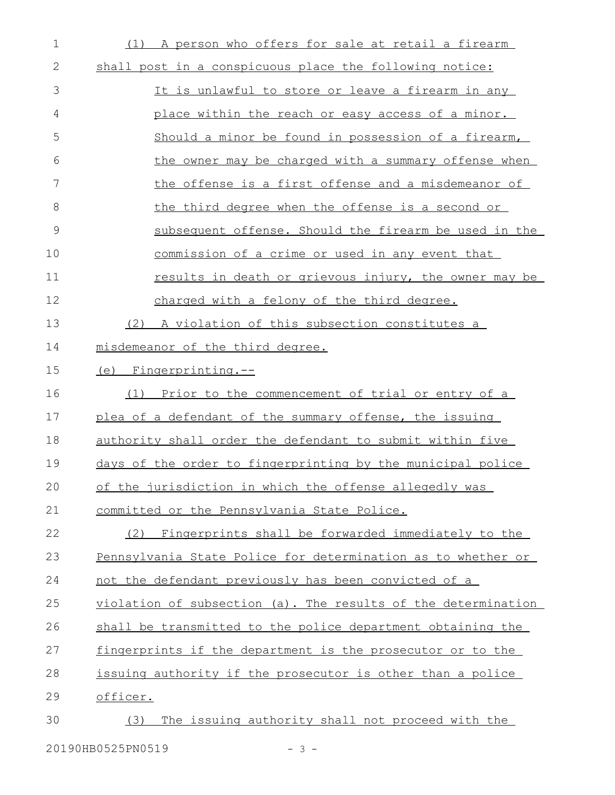| 1  | (1) A person who offers for sale at retail a firearm          |
|----|---------------------------------------------------------------|
| 2  | shall post in a conspicuous place the following notice:       |
| 3  | It is unlawful to store or leave a firearm in any             |
| 4  | place within the reach or easy access of a minor.             |
| 5  | Should a minor be found in possession of a firearm,           |
| 6  | the owner may be charged with a summary offense when          |
| 7  | <u>the offense is a first offense and a misdemeanor of</u>    |
| 8  | the third degree when the offense is a second or              |
| 9  | subsequent offense. Should the firearm be used in the         |
| 10 | commission of a crime or used in any event that               |
| 11 | results in death or grievous injury, the owner may be         |
| 12 | charged with a felony of the third degree.                    |
| 13 | (2) A violation of this subsection constitutes a              |
| 14 | misdemeanor of the third degree.                              |
| 15 | (e) Fingerprinting.--                                         |
| 16 | (1) Prior to the commencement of trial or entry of a          |
| 17 | plea of a defendant of the summary offense, the issuing       |
| 18 | authority shall order the defendant to submit within five     |
| 19 | days of the order to fingerprinting by the municipal police   |
| 20 | of the jurisdiction in which the offense allegedly was        |
| 21 | committed or the Pennsylvania State Police.                   |
| 22 | (2) Fingerprints shall be forwarded immediately to the        |
| 23 | Pennsylvania State Police for determination as to whether or  |
| 24 | not the defendant previously has been convicted of a          |
| 25 | violation of subsection (a). The results of the determination |
| 26 | shall be transmitted to the police department obtaining the   |
| 27 | fingerprints if the department is the prosecutor or to the    |
| 28 | issuing authority if the prosecutor is other than a police    |
| 29 | officer.                                                      |
| 30 | The issuing authority shall not proceed with the<br>(3)       |